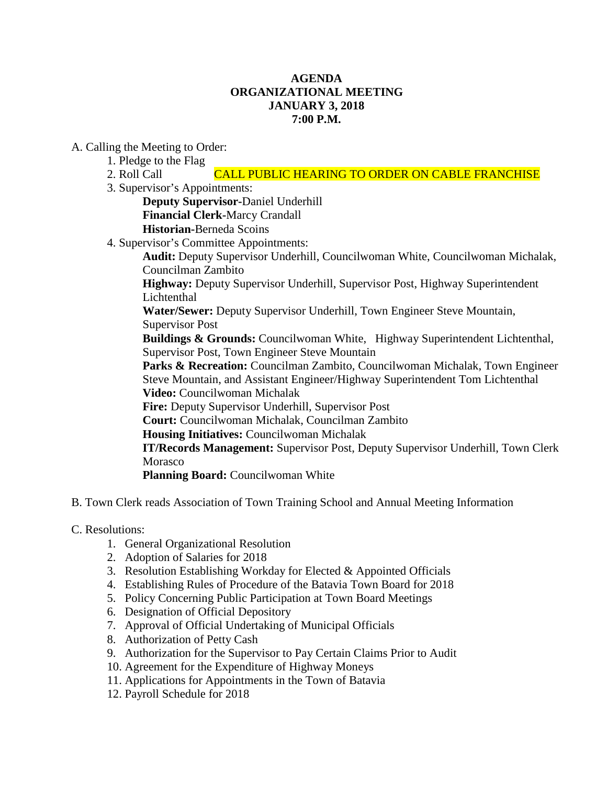## **AGENDA ORGANIZATIONAL MEETING JANUARY 3, 2018 7:00 P.M.**

A. Calling the Meeting to Order:

1. Pledge to the Flag

2. Roll Call **CALL PUBLIC HEARING TO ORDER ON CABLE FRANCHISE** 

3. Supervisor's Appointments:

**Deputy Supervisor-**Daniel Underhill

**Financial Clerk-**Marcy Crandall

**Historian-**Berneda Scoins

4. Supervisor's Committee Appointments:

**Audit:** Deputy Supervisor Underhill, Councilwoman White, Councilwoman Michalak, Councilman Zambito

**Highway:** Deputy Supervisor Underhill, Supervisor Post, Highway Superintendent Lichtenthal

**Water/Sewer:** Deputy Supervisor Underhill, Town Engineer Steve Mountain, Supervisor Post

**Buildings & Grounds:** Councilwoman White, Highway Superintendent Lichtenthal, Supervisor Post, Town Engineer Steve Mountain

**Parks & Recreation:** Councilman Zambito, Councilwoman Michalak, Town Engineer Steve Mountain, and Assistant Engineer/Highway Superintendent Tom Lichtenthal **Video:** Councilwoman Michalak

**Fire:** Deputy Supervisor Underhill, Supervisor Post

**Court:** Councilwoman Michalak, Councilman Zambito

**Housing Initiatives:** Councilwoman Michalak

**IT/Records Management:** Supervisor Post, Deputy Supervisor Underhill, Town Clerk Morasco

**Planning Board:** Councilwoman White

- B. Town Clerk reads Association of Town Training School and Annual Meeting Information
- C. Resolutions:
	- 1. General Organizational Resolution
	- 2. Adoption of Salaries for 2018
	- 3. Resolution Establishing Workday for Elected & Appointed Officials
	- 4. Establishing Rules of Procedure of the Batavia Town Board for 2018
	- 5. Policy Concerning Public Participation at Town Board Meetings
	- 6. Designation of Official Depository
	- 7. Approval of Official Undertaking of Municipal Officials
	- 8. Authorization of Petty Cash
	- 9. Authorization for the Supervisor to Pay Certain Claims Prior to Audit
	- 10. Agreement for the Expenditure of Highway Moneys
	- 11. Applications for Appointments in the Town of Batavia
	- 12. Payroll Schedule for 2018